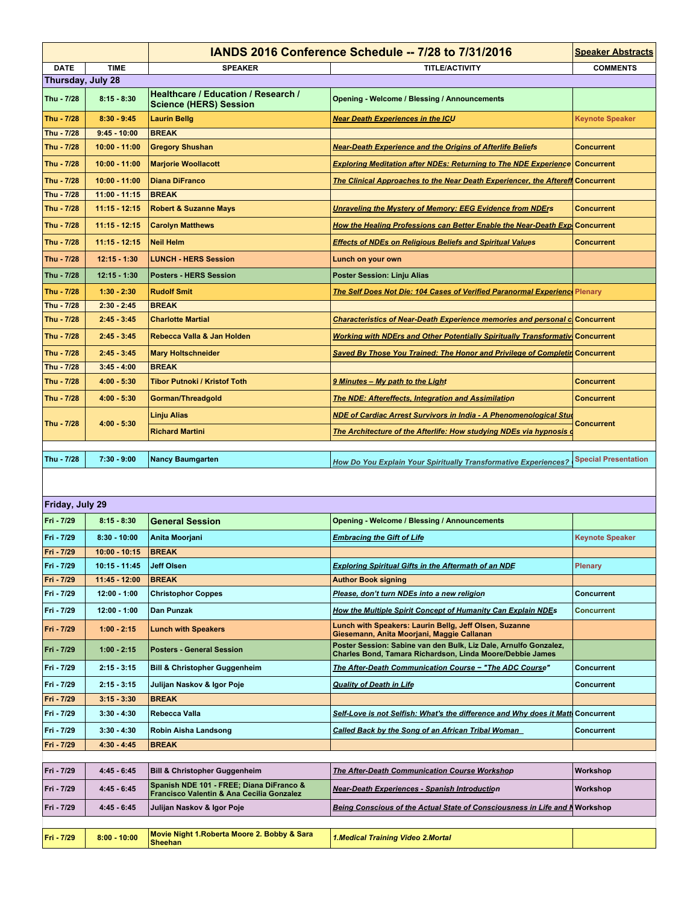|                   |                 | <b>IANDS 2016 Conference Schedule -- 7/28 to 7/31/2016</b>                            | <b>Speaker Abstracts</b>                                                                                                      |                             |
|-------------------|-----------------|---------------------------------------------------------------------------------------|-------------------------------------------------------------------------------------------------------------------------------|-----------------------------|
| <b>DATE</b>       | <b>TIME</b>     | <b>SPEAKER</b>                                                                        | <b>TITLE/ACTIVITY</b>                                                                                                         | <b>COMMENTS</b>             |
| Thursday, July 28 |                 |                                                                                       |                                                                                                                               |                             |
| Thu - 7/28        | $8:15 - 8:30$   | Healthcare / Education / Research /<br><b>Science (HERS) Session</b>                  | <b>Opening - Welcome / Blessing / Announcements</b>                                                                           |                             |
| Thu - 7/28        | $8:30 - 9:45$   | <b>Laurin Bellg</b>                                                                   | <b>Near Death Experiences in the ICU</b>                                                                                      | <b>Keynote Speaker</b>      |
| Thu - 7/28        | $9:45 - 10:00$  | <b>BREAK</b>                                                                          |                                                                                                                               |                             |
| Thu - 7/28        | $10:00 - 11:00$ | <b>Gregory Shushan</b>                                                                | <b>Near-Death Experience and the Origins of Afterlife Beliefs</b>                                                             | <b>Concurrent</b>           |
| Thu - 7/28        | $10:00 - 11:00$ | <b>Marjorie Woollacott</b>                                                            | <b>Exploring Meditation after NDEs: Returning to The NDE Experience Concurrent</b>                                            |                             |
| Thu - 7/28        | $10:00 - 11:00$ | <b>Diana DiFranco</b>                                                                 | <b>The Clinical Approaches to the Near Death Experiencer, the Aftereff Concurrent</b>                                         |                             |
| Thu - 7/28        | $11:00 - 11:15$ | <b>BREAK</b>                                                                          |                                                                                                                               |                             |
| Thu - 7/28        | $11:15 - 12:15$ | <b>Robert &amp; Suzanne Mays</b>                                                      | <b>Unraveling the Mystery of Memory: EEG Evidence from NDErs</b>                                                              | <b>Concurrent</b>           |
| Thu - 7/28        | $11:15 - 12:15$ | <b>Carolyn Matthews</b>                                                               | How the Healing Professions can Better Enable the Near-Death Exp Concurrent                                                   |                             |
| Thu - 7/28        | $11:15 - 12:15$ | <b>Neil Helm</b>                                                                      | <b>Effects of NDEs on Religious Beliefs and Spiritual Values</b>                                                              | <b>Concurrent</b>           |
| Thu - 7/28        | $12:15 - 1:30$  | <b>LUNCH - HERS Session</b>                                                           | Lunch on your own                                                                                                             |                             |
| Thu - 7/28        | $12:15 - 1:30$  | <b>Posters - HERS Session</b>                                                         | <b>Poster Session: Linju Alias</b>                                                                                            |                             |
| Thu - 7/28        | $1:30 - 2:30$   | <b>Rudolf Smit</b>                                                                    | <u> The Self Does Not Die: 104 Cases of Verified Paranormal Experience Plenary</u>                                            |                             |
| Thu - 7/28        | $2:30 - 2:45$   | <b>BREAK</b>                                                                          |                                                                                                                               |                             |
| Thu - 7/28        | $2:45 - 3:45$   | <b>Charlotte Martial</b>                                                              | <b>Characteristics of Near-Death Experience memories and personal c</b> Concurrent                                            |                             |
| Thu - 7/28        | $2:45 - 3:45$   | Rebecca Valla & Jan Holden                                                            | Working with NDErs and Other Potentially Spiritually Transformativ Concurrent                                                 |                             |
| Thu - 7/28        | $2:45 - 3:45$   | <b>Mary Holtschneider</b>                                                             | Saved By Those You Trained: The Honor and Privilege of Completin Concurrent                                                   |                             |
| Thu - 7/28        | $3:45 - 4:00$   | <b>BREAK</b>                                                                          |                                                                                                                               |                             |
| Thu - 7/28        | $4:00 - 5:30$   | <b>Tibor Putnoki / Kristof Toth</b>                                                   | 9 Minutes - My path to the Light                                                                                              | <b>Concurrent</b>           |
| Thu - 7/28        | $4:00 - 5:30$   | Gorman/Threadgold                                                                     | <b>The NDE: Aftereffects, Integration and Assimilation</b>                                                                    | <b>Concurrent</b>           |
| Thu - 7/28        | $4:00 - 5:30$   | Linju Alias                                                                           | <b>NDE of Cardiac Arrest Survivors in India - A Phenomenological Stud</b>                                                     | <b>Concurrent</b>           |
|                   |                 | <b>Richard Martini</b>                                                                | The Architecture of the Afterlife: How studying NDEs via hypnosis of                                                          |                             |
| Thu - 7/28        | $7:30 - 9:00$   | <b>Nancy Baumgarten</b>                                                               |                                                                                                                               | <b>Special Presentation</b> |
|                   |                 |                                                                                       | How Do You Explain Your Spiritually Transformative Experiences?                                                               |                             |
|                   |                 |                                                                                       |                                                                                                                               |                             |
| Friday, July 29   |                 |                                                                                       |                                                                                                                               |                             |
| Fri - 7/29        | $8:15 - 8:30$   | <b>General Session</b>                                                                | <b>Opening - Welcome / Blessing / Announcements</b>                                                                           |                             |
| Fri - 7/29        | $8:30 - 10:00$  | Anita Moorjani                                                                        | <b>Embracing the Gift of Life</b>                                                                                             | <b>Keynote Speaker</b>      |
| Fri - 7/29        | $10:00 - 10:15$ | <b>BREAK</b>                                                                          |                                                                                                                               |                             |
| Fri - 7/29        | $10:15 - 11:45$ | <b>Jeff Olsen</b>                                                                     | <b>Exploring Spiritual Gifts in the Aftermath of an NDE</b>                                                                   | Plenary                     |
| Fri - 7/29        | $11:45 - 12:00$ | <b>BREAK</b>                                                                          | <b>Author Book signing</b>                                                                                                    |                             |
| Fri - 7/29        | $12:00 - 1:00$  | <b>Christophor Coppes</b>                                                             | Please, don't turn NDEs into a new religion                                                                                   | <b>Concurrent</b>           |
| Fri - 7/29        | $12:00 - 1:00$  | Dan Punzak                                                                            | How the Multiple Spirit Concept of Humanity Can Explain NDEs                                                                  | <b>Concurrent</b>           |
| Fri - 7/29        | $1:00 - 2:15$   | <b>Lunch with Speakers</b>                                                            | Lunch with Speakers: Laurin Bellg, Jeff Olsen, Suzanne<br>Giesemann, Anita Moorjani, Maggie Callanan                          |                             |
| Fri - 7/29        | $1:00 - 2:15$   | <b>Posters - General Session</b>                                                      | Poster Session: Sabine van den Bulk, Liz Dale, Arnulfo Gonzalez,<br>Charles Bond, Tamara Richardson, Linda Moore/Debbie James |                             |
| Fri - 7/29        | $2:15 - 3:15$   | <b>Bill &amp; Christopher Guggenheim</b>                                              | The After-Death Communication Course - "The ADC Course"                                                                       | <b>Concurrent</b>           |
| Fri - 7/29        | $2:15 - 3:15$   | Julijan Naskov & Igor Poje                                                            | <b>Quality of Death in Life</b>                                                                                               | <b>Concurrent</b>           |
| Fri - 7/29        | $3:15 - 3:30$   | <b>BREAK</b>                                                                          |                                                                                                                               |                             |
| Fri - 7/29        | $3:30 - 4:30$   | Rebecca Valla                                                                         | Self-Love is not Selfish: What's the difference and Why does it Mattl Concurrent                                              |                             |
| Fri - 7/29        | $3:30 - 4:30$   | Robin Aisha Landsong                                                                  | <b>Called Back by the Song of an African Tribal Woman</b>                                                                     | <b>Concurrent</b>           |
| Fri - 7/29        | $4:30 - 4:45$   | <b>BREAK</b>                                                                          |                                                                                                                               |                             |
|                   |                 |                                                                                       |                                                                                                                               |                             |
| Fri - 7/29        | $4:45 - 6:45$   | <b>Bill &amp; Christopher Guggenheim</b>                                              | The After-Death Communication Course Workshop                                                                                 | Workshop                    |
| Fri - 7/29        | $4:45 - 6:45$   | Spanish NDE 101 - FREE; Diana DiFranco &<br>Francisco Valentin & Ana Cecilia Gonzalez | <b>Near-Death Experiences - Spanish Introduction</b>                                                                          | Workshop                    |
| Fri - 7/29        | 4:45 - 6:45     | Julijan Naskov & Igor Poje                                                            | Being Conscious of the Actual State of Consciousness in Life and N Workshop                                                   |                             |
| Fri - 7/29        | $8:00 - 10:00$  | Movie Night 1. Roberta Moore 2. Bobby & Sara                                          | 1. Medical Training Video 2. Mortal                                                                                           |                             |
|                   |                 | <b>Sheehan</b>                                                                        |                                                                                                                               |                             |